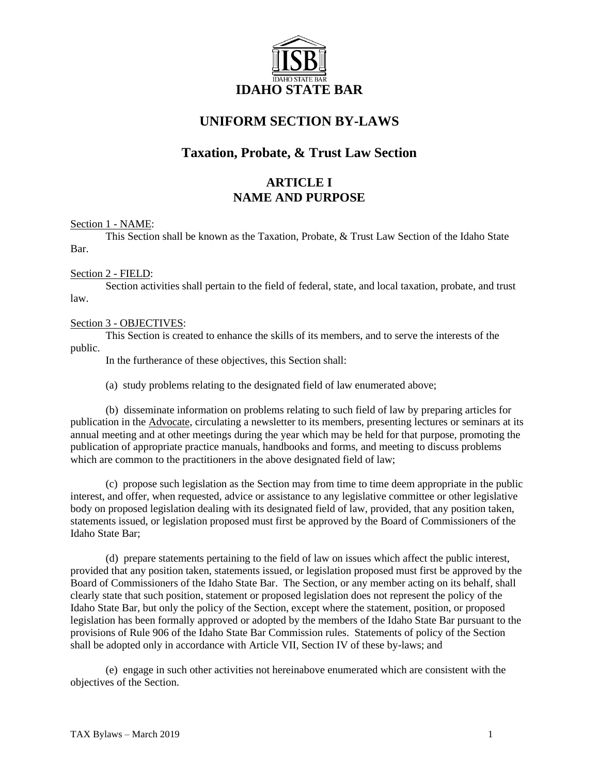

## **UNIFORM SECTION BY-LAWS**

# **Taxation, Probate, & Trust Law Section**

## **ARTICLE I NAME AND PURPOSE**

## Section 1 - NAME:

This Section shall be known as the Taxation, Probate, & Trust Law Section of the Idaho State Bar.

## Section 2 - FIELD:

Section activities shall pertain to the field of federal, state, and local taxation, probate, and trust law.

## Section 3 - OBJECTIVES:

This Section is created to enhance the skills of its members, and to serve the interests of the public.

In the furtherance of these objectives, this Section shall:

(a) study problems relating to the designated field of law enumerated above;

(b) disseminate information on problems relating to such field of law by preparing articles for publication in the Advocate, circulating a newsletter to its members, presenting lectures or seminars at its annual meeting and at other meetings during the year which may be held for that purpose, promoting the publication of appropriate practice manuals, handbooks and forms, and meeting to discuss problems which are common to the practitioners in the above designated field of law;

(c) propose such legislation as the Section may from time to time deem appropriate in the public interest, and offer, when requested, advice or assistance to any legislative committee or other legislative body on proposed legislation dealing with its designated field of law, provided, that any position taken, statements issued, or legislation proposed must first be approved by the Board of Commissioners of the Idaho State Bar;

(d) prepare statements pertaining to the field of law on issues which affect the public interest, provided that any position taken, statements issued, or legislation proposed must first be approved by the Board of Commissioners of the Idaho State Bar. The Section, or any member acting on its behalf, shall clearly state that such position, statement or proposed legislation does not represent the policy of the Idaho State Bar, but only the policy of the Section, except where the statement, position, or proposed legislation has been formally approved or adopted by the members of the Idaho State Bar pursuant to the provisions of Rule 906 of the Idaho State Bar Commission rules. Statements of policy of the Section shall be adopted only in accordance with Article VII, Section IV of these by-laws; and

(e) engage in such other activities not hereinabove enumerated which are consistent with the objectives of the Section.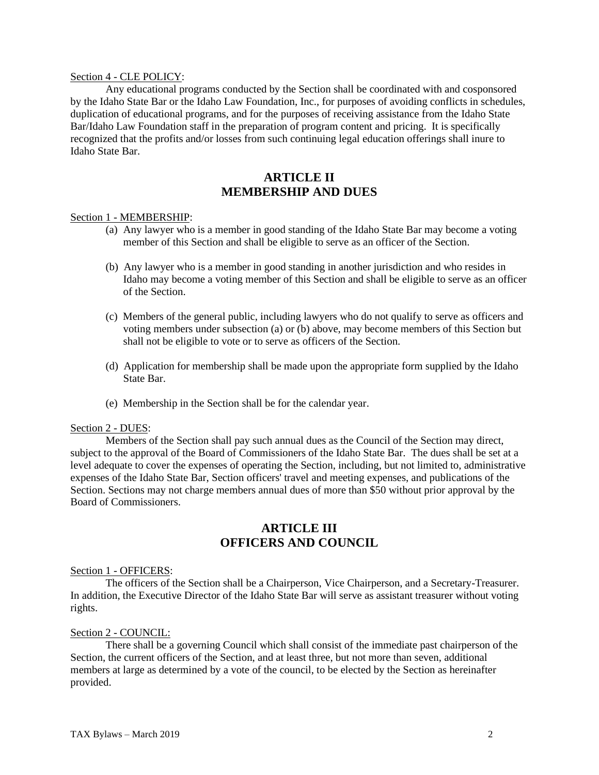### Section 4 - CLE POLICY:

Any educational programs conducted by the Section shall be coordinated with and cosponsored by the Idaho State Bar or the Idaho Law Foundation, Inc., for purposes of avoiding conflicts in schedules, duplication of educational programs, and for the purposes of receiving assistance from the Idaho State Bar/Idaho Law Foundation staff in the preparation of program content and pricing. It is specifically recognized that the profits and/or losses from such continuing legal education offerings shall inure to Idaho State Bar.

## **ARTICLE II MEMBERSHIP AND DUES**

#### Section 1 - MEMBERSHIP:

- (a) Any lawyer who is a member in good standing of the Idaho State Bar may become a voting member of this Section and shall be eligible to serve as an officer of the Section.
- (b) Any lawyer who is a member in good standing in another jurisdiction and who resides in Idaho may become a voting member of this Section and shall be eligible to serve as an officer of the Section.
- (c) Members of the general public, including lawyers who do not qualify to serve as officers and voting members under subsection (a) or (b) above, may become members of this Section but shall not be eligible to vote or to serve as officers of the Section.
- (d) Application for membership shall be made upon the appropriate form supplied by the Idaho State Bar.
- (e) Membership in the Section shall be for the calendar year.

#### Section 2 - DUES:

Members of the Section shall pay such annual dues as the Council of the Section may direct, subject to the approval of the Board of Commissioners of the Idaho State Bar. The dues shall be set at a level adequate to cover the expenses of operating the Section, including, but not limited to, administrative expenses of the Idaho State Bar, Section officers' travel and meeting expenses, and publications of the Section. Sections may not charge members annual dues of more than \$50 without prior approval by the Board of Commissioners.

## **ARTICLE III OFFICERS AND COUNCIL**

#### Section 1 - OFFICERS:

The officers of the Section shall be a Chairperson, Vice Chairperson, and a Secretary-Treasurer. In addition, the Executive Director of the Idaho State Bar will serve as assistant treasurer without voting rights.

#### Section 2 - COUNCIL:

There shall be a governing Council which shall consist of the immediate past chairperson of the Section, the current officers of the Section, and at least three, but not more than seven, additional members at large as determined by a vote of the council, to be elected by the Section as hereinafter provided.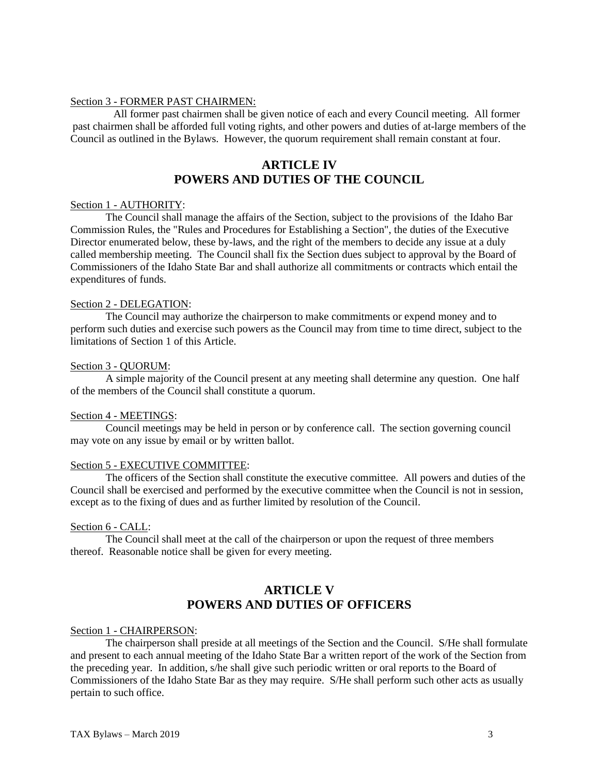### Section 3 - FORMER PAST CHAIRMEN:

All former past chairmen shall be given notice of each and every Council meeting. All former past chairmen shall be afforded full voting rights, and other powers and duties of at-large members of the Council as outlined in the Bylaws. However, the quorum requirement shall remain constant at four.

## **ARTICLE IV POWERS AND DUTIES OF THE COUNCIL**

#### Section 1 - AUTHORITY:

The Council shall manage the affairs of the Section, subject to the provisions of the Idaho Bar Commission Rules, the "Rules and Procedures for Establishing a Section", the duties of the Executive Director enumerated below, these by-laws, and the right of the members to decide any issue at a duly called membership meeting. The Council shall fix the Section dues subject to approval by the Board of Commissioners of the Idaho State Bar and shall authorize all commitments or contracts which entail the expenditures of funds.

#### Section 2 - DELEGATION:

The Council may authorize the chairperson to make commitments or expend money and to perform such duties and exercise such powers as the Council may from time to time direct, subject to the limitations of Section 1 of this Article.

### Section 3 - QUORUM:

A simple majority of the Council present at any meeting shall determine any question. One half of the members of the Council shall constitute a quorum.

#### Section 4 - MEETINGS:

Council meetings may be held in person or by conference call. The section governing council may vote on any issue by email or by written ballot.

### Section 5 - EXECUTIVE COMMITTEE:

The officers of the Section shall constitute the executive committee. All powers and duties of the Council shall be exercised and performed by the executive committee when the Council is not in session, except as to the fixing of dues and as further limited by resolution of the Council.

### Section 6 - CALL:

The Council shall meet at the call of the chairperson or upon the request of three members thereof. Reasonable notice shall be given for every meeting.

## **ARTICLE V POWERS AND DUTIES OF OFFICERS**

#### Section 1 - CHAIRPERSON:

The chairperson shall preside at all meetings of the Section and the Council. S/He shall formulate and present to each annual meeting of the Idaho State Bar a written report of the work of the Section from the preceding year. In addition, s/he shall give such periodic written or oral reports to the Board of Commissioners of the Idaho State Bar as they may require. S/He shall perform such other acts as usually pertain to such office.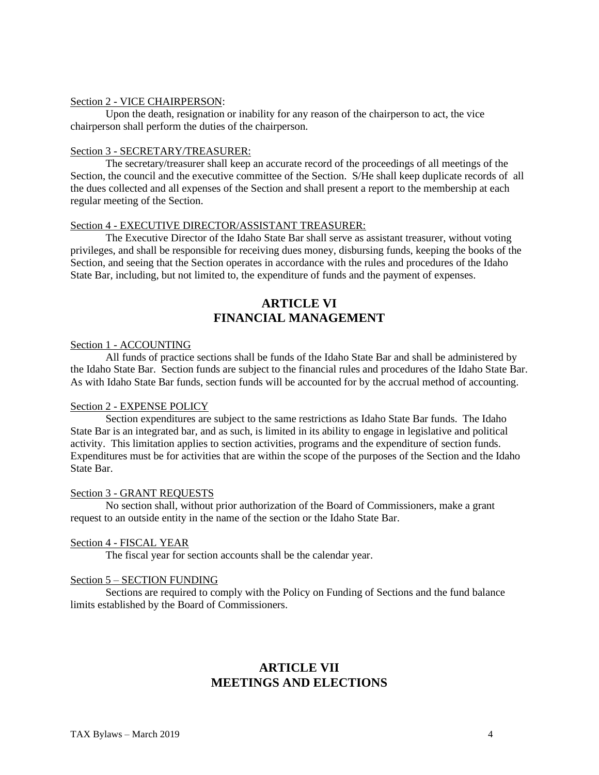## Section 2 - VICE CHAIRPERSON:

Upon the death, resignation or inability for any reason of the chairperson to act, the vice chairperson shall perform the duties of the chairperson.

## Section 3 - SECRETARY/TREASURER:

The secretary/treasurer shall keep an accurate record of the proceedings of all meetings of the Section, the council and the executive committee of the Section. S/He shall keep duplicate records of all the dues collected and all expenses of the Section and shall present a report to the membership at each regular meeting of the Section.

## Section 4 - EXECUTIVE DIRECTOR/ASSISTANT TREASURER:

The Executive Director of the Idaho State Bar shall serve as assistant treasurer, without voting privileges, and shall be responsible for receiving dues money, disbursing funds, keeping the books of the Section, and seeing that the Section operates in accordance with the rules and procedures of the Idaho State Bar, including, but not limited to, the expenditure of funds and the payment of expenses.

## **ARTICLE VI FINANCIAL MANAGEMENT**

### Section 1 - ACCOUNTING

All funds of practice sections shall be funds of the Idaho State Bar and shall be administered by the Idaho State Bar. Section funds are subject to the financial rules and procedures of the Idaho State Bar. As with Idaho State Bar funds, section funds will be accounted for by the accrual method of accounting.

#### Section 2 - EXPENSE POLICY

Section expenditures are subject to the same restrictions as Idaho State Bar funds. The Idaho State Bar is an integrated bar, and as such, is limited in its ability to engage in legislative and political activity. This limitation applies to section activities, programs and the expenditure of section funds. Expenditures must be for activities that are within the scope of the purposes of the Section and the Idaho State Bar.

#### Section 3 - GRANT REQUESTS

No section shall, without prior authorization of the Board of Commissioners, make a grant request to an outside entity in the name of the section or the Idaho State Bar.

#### Section 4 - FISCAL YEAR

The fiscal year for section accounts shall be the calendar year.

#### Section 5 – SECTION FUNDING

Sections are required to comply with the Policy on Funding of Sections and the fund balance limits established by the Board of Commissioners.

## **ARTICLE VII MEETINGS AND ELECTIONS**